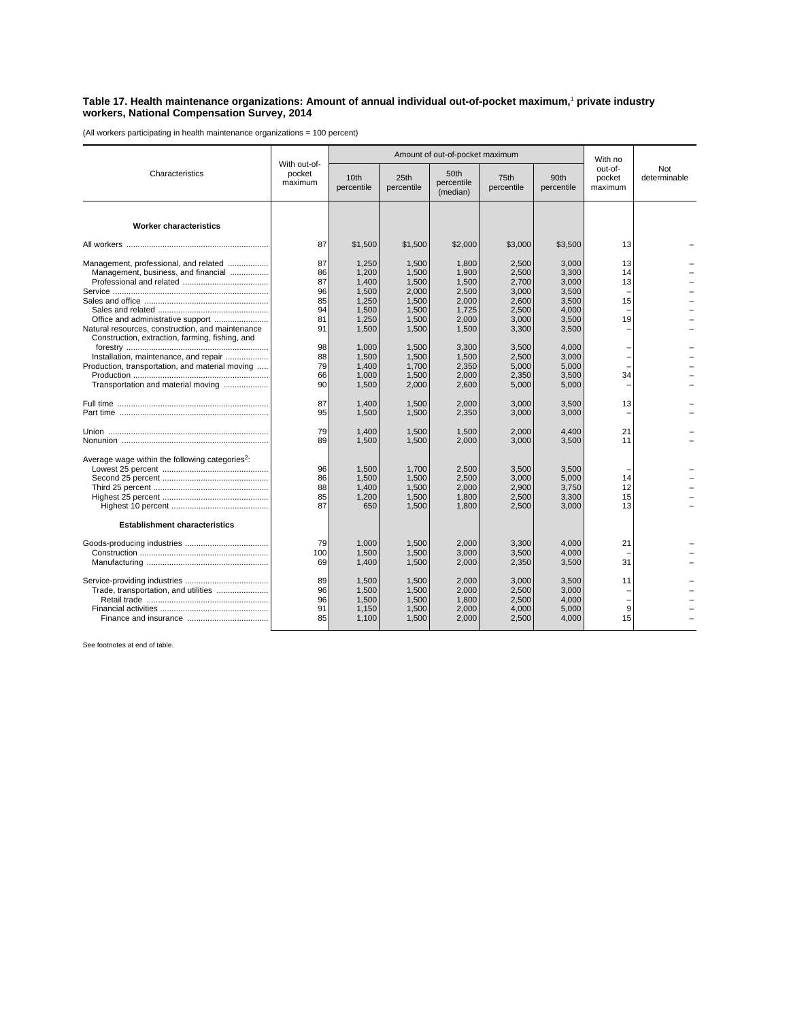## **Table 17. Health maintenance organizations: Amount of annual individual out-of-pocket maximum,**<sup>1</sup>  **private industry workers, National Compensation Survey, 2014**

(All workers participating in health maintenance organizations = 100 percent)

| Characteristics                                                                                                                                                                   | With out-of-<br>pocket<br>maximum            |                                                                      | Amount of out-of-pocket maximum                                      | With no                                                              |                                                                      |                                                                      |                              |                            |
|-----------------------------------------------------------------------------------------------------------------------------------------------------------------------------------|----------------------------------------------|----------------------------------------------------------------------|----------------------------------------------------------------------|----------------------------------------------------------------------|----------------------------------------------------------------------|----------------------------------------------------------------------|------------------------------|----------------------------|
|                                                                                                                                                                                   |                                              | 10th<br>percentile                                                   | 25th<br>percentile                                                   | 50th<br>percentile<br>(median)                                       | 75th<br>percentile                                                   | 90th<br>percentile                                                   | out-of-<br>pocket<br>maximum | <b>Not</b><br>determinable |
| <b>Worker characteristics</b>                                                                                                                                                     |                                              |                                                                      |                                                                      |                                                                      |                                                                      |                                                                      |                              |                            |
|                                                                                                                                                                                   | 87                                           | \$1.500                                                              | \$1,500                                                              | \$2,000                                                              | \$3,000                                                              | \$3.500                                                              | 13                           |                            |
| Management, professional, and related<br>Management, business, and financial<br>Natural resources, construction, and maintenance                                                  | 87<br>86<br>87<br>96<br>85<br>94<br>81<br>91 | 1,250<br>1,200<br>1,400<br>1,500<br>1,250<br>1,500<br>1.250<br>1,500 | 1,500<br>1,500<br>1,500<br>2,000<br>1,500<br>1,500<br>1,500<br>1,500 | 1,800<br>1,900<br>1,500<br>2,500<br>2,000<br>1,725<br>2,000<br>1,500 | 2,500<br>2,500<br>2,700<br>3.000<br>2,600<br>2,500<br>3.000<br>3,300 | 3,000<br>3,300<br>3,000<br>3.500<br>3,500<br>4,000<br>3.500<br>3,500 | 13<br>14<br>13<br>15<br>19   |                            |
| Construction, extraction, farming, fishing, and<br>Installation, maintenance, and repair<br>Production, transportation, and material moving<br>Transportation and material moving | 98<br>88<br>79<br>66<br>90                   | 1.000<br>1,500<br>1,400<br>1,000<br>1,500                            | 1,500<br>1,500<br>1,700<br>1,500<br>2,000                            | 3.300<br>1,500<br>2,350<br>2,000<br>2,600                            | 3,500<br>2,500<br>5,000<br>2,350<br>5,000                            | 4,000<br>3,000<br>5,000<br>3,500<br>5,000                            | 34                           |                            |
|                                                                                                                                                                                   | 87<br>95                                     | 1,400<br>1,500                                                       | 1,500<br>1,500                                                       | 2,000<br>2,350                                                       | 3,000<br>3,000                                                       | 3,500<br>3,000                                                       | 13                           |                            |
|                                                                                                                                                                                   | 79<br>89                                     | 1,400<br>1,500                                                       | 1,500<br>1,500                                                       | 1,500<br>2,000                                                       | 2,000<br>3,000                                                       | 4,400<br>3,500                                                       | 21<br>11                     |                            |
| Average wage within the following categories <sup>2</sup> :                                                                                                                       | 96<br>86<br>88<br>85<br>87                   | 1.500<br>1,500<br>1,400<br>1,200<br>650                              | 1.700<br>1,500<br>1,500<br>1,500<br>1,500                            | 2,500<br>2,500<br>2,000<br>1,800<br>1,800                            | 3,500<br>3,000<br>2,900<br>2,500<br>2,500                            | 3,500<br>5,000<br>3,750<br>3,300<br>3,000                            | 14<br>12<br>15<br>13         |                            |
| <b>Establishment characteristics</b>                                                                                                                                              |                                              |                                                                      |                                                                      |                                                                      |                                                                      |                                                                      |                              |                            |
|                                                                                                                                                                                   | 79<br>100<br>69                              | 1,000<br>1,500<br>1,400                                              | 1,500<br>1,500<br>1,500                                              | 2,000<br>3,000<br>2,000                                              | 3,300<br>3,500<br>2,350                                              | 4,000<br>4.000<br>3,500                                              | 21<br>31                     |                            |
| Trade, transportation, and utilities                                                                                                                                              | 89<br>96<br>96<br>91<br>85                   | 1,500<br>1,500<br>1.500<br>1,150<br>1,100                            | 1,500<br>1,500<br>1,500<br>1,500<br>1,500                            | 2,000<br>2,000<br>1,800<br>2,000<br>2,000                            | 3,000<br>2,500<br>2,500<br>4,000<br>2,500                            | 3,500<br>3,000<br>4.000<br>5,000<br>4,000                            | 11<br>9<br>15                |                            |

See footnotes at end of table.